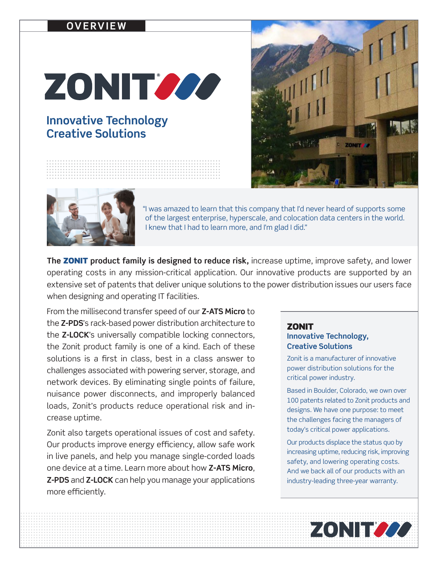### **OVERVIEW**

# ZONIT 222

## **Innovative Technology Creative Solutions**





"I was amazed to learn that this company that I'd never heard of supports some of the largest enterprise, hyperscale, and colocation data centers in the world. I knew that I had to learn more, and I'm glad I did."

**The** ZONIT **product family is designed to reduce risk,** increase uptime, improve safety, and lower operating costs in any mission-critical application. Our innovative products are supported by an extensive set of patents that deliver unique solutions to the power distribution issues our users face when designing and operating IT facilities.

From the millisecond transfer speed of our **Z-ATS Micro** to the **Z-PDS**'s rack-based power distribution architecture to the **Z-LOCK**'s universally compatible locking connectors, the Zonit product family is one of a kind. Each of these solutions is a first in class, best in a class answer to challenges associated with powering server, storage, and network devices. By eliminating single points of failure, nuisance power disconnects, and improperly balanced loads, Zonit's products reduce operational risk and increase uptime.

Zonit also targets operational issues of cost and safety. Our products improve energy efficiency, allow safe work in live panels, and help you manage single-corded loads one device at a time. Learn more about how **Z-ATS Micro**, **Z-PDS** and **Z-LOCK** can help you manage your applications more efficiently.

#### **ZONIT Innovative Technology, Creative Solutions**

Zonit is a manufacturer of innovative power distribution solutions for the critical power industry.

Based in Boulder, Colorado, we own over 100 patents related to Zonit products and designs. We have one purpose: to meet the challenges facing the managers of today's critical power applications.

Our products displace the status quo by increasing uptime, reducing risk, improving safety, and lowering operating costs. And we back all of our products with an industry-leading three-year warranty.